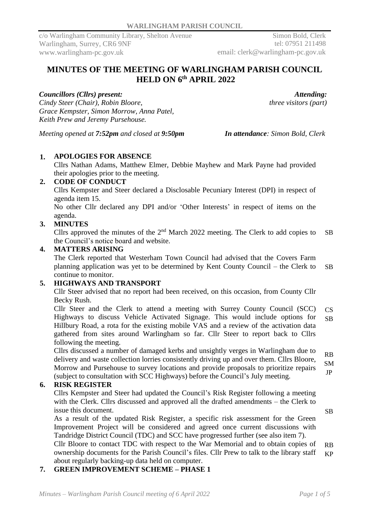Simon Bold, Clerk tel: 07951 211498 email: clerk@warlingham-pc.gov.uk

# **MINUTES OF THE MEETING OF WARLINGHAM PARISH COUNCIL HELD ON 6 th APRIL 2022**

### *Councillors (Cllrs) present:*

*Cindy Steer (Chair), Robin Bloore, Grace Kempster, Simon Morrow, Anna Patel, Keith Prew and Jeremy Pursehouse.*

*Attending:*

*three visitors (part)*

*Meeting opened at 7:52pm and closed at 9:50pm In attendance: Simon Bold, Clerk*

## **1. APOLOGIES FOR ABSENCE**

Cllrs Nathan Adams, Matthew Elmer, Debbie Mayhew and Mark Payne had provided their apologies prior to the meeting.

## **2. CODE OF CONDUCT**

Cllrs Kempster and Steer declared a Disclosable Pecuniary Interest (DPI) in respect of agenda item 15.

No other Cllr declared any DPI and/or 'Other Interests' in respect of items on the agenda.

### **3. MINUTES**

Cllrs approved the minutes of the  $2<sup>nd</sup>$  March 2022 meeting. The Clerk to add copies to the Council's notice board and website. SB

#### **4. MATTERS ARISING**

The Clerk reported that Westerham Town Council had advised that the Covers Farm planning application was yet to be determined by Kent County Council – the Clerk to continue to monitor. SB

### **5. HIGHWAYS AND TRANSPORT**

Cllr Steer advised that no report had been received, on this occasion, from County Cllr Becky Rush.

Cllr Steer and the Clerk to attend a meeting with Surrey County Council (SCC) Highways to discuss Vehicle Activated Signage. This would include options for Hillbury Road, a rota for the existing mobile VAS and a review of the activation data gathered from sites around Warlingham so far. Cllr Steer to report back to Cllrs following the meeting. CS SB

Cllrs discussed a number of damaged kerbs and unsightly verges in Warlingham due to delivery and waste collection lorries consistently driving up and over them. Cllrs Bloore, Morrow and Pursehouse to survey locations and provide proposals to prioritize repairs (subject to consultation with SCC Highways) before the Council's July meeting. RB SM JP

### **6. RISK REGISTER**

Cllrs Kempster and Steer had updated the Council's Risk Register following a meeting with the Clerk. Cllrs discussed and approved all the drafted amendments – the Clerk to issue this document.

As a result of the updated Risk Register, a specific risk assessment for the Green Improvement Project will be considered and agreed once current discussions with Tandridge District Council (TDC) and SCC have progressed further (see also item 7).

Cllr Bloore to contact TDC with respect to the War Memorial and to obtain copies of ownership documents for the Parish Council's files. Cllr Prew to talk to the library staff about regularly backing-up data held on computer. RB KP

**7. GREEN IMPROVEMENT SCHEME – PHASE 1**

SB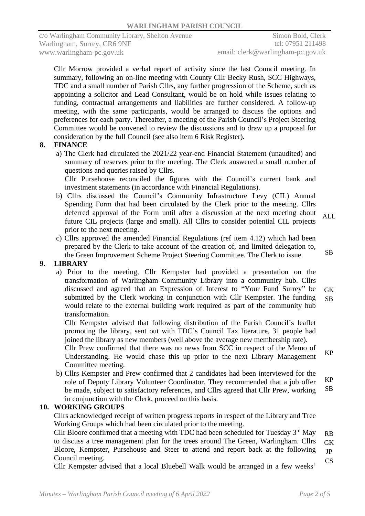Cllr Morrow provided a verbal report of activity since the last Council meeting. In summary, following an on-line meeting with County Cllr Becky Rush, SCC Highways, TDC and a small number of Parish Cllrs, any further progression of the Scheme, such as appointing a solicitor and Lead Consultant, would be on hold while issues relating to funding, contractual arrangements and liabilities are further considered. A follow-up meeting, with the same participants, would be arranged to discuss the options and preferences for each party. Thereafter, a meeting of the Parish Council's Project Steering Committee would be convened to review the discussions and to draw up a proposal for consideration by the full Council (see also item 6 Risk Register).

### **8. FINANCE**

a) The Clerk had circulated the 2021/22 year-end Financial Statement (unaudited) and summary of reserves prior to the meeting. The Clerk answered a small number of questions and queries raised by Cllrs.

Cllr Pursehouse reconciled the figures with the Council's current bank and investment statements (in accordance with Financial Regulations).

- b) Cllrs discussed the Council's Community Infrastructure Levy (CIL) Annual Spending Form that had been circulated by the Clerk prior to the meeting. Cllrs deferred approval of the Form until after a discussion at the next meeting about future CIL projects (large and small). All Cllrs to consider potential CIL projects prior to the next meeting. ALL
- c) Cllrs approved the amended Financial Regulations (ref item 4.12) which had been prepared by the Clerk to take account of the creation of, and limited delegation to, the Green Improvement Scheme Project Steering Committee. The Clerk to issue.

## **9. LIBRARY**

a) Prior to the meeting, Cllr Kempster had provided a presentation on the transformation of Warlingham Community Library into a community hub. Cllrs discussed and agreed that an Expression of Interest to "Your Fund Surrey" be submitted by the Clerk working in conjunction with Cllr Kempster. The funding would relate to the external building work required as part of the community hub transformation. GK SB

Cllr Kempster advised that following distribution of the Parish Council's leaflet promoting the library, sent out with TDC's Council Tax literature, 31 people had joined the library as new members (well above the average new membership rate).

Cllr Prew confirmed that there was no news from SCC in respect of the Memo of Understanding. He would chase this up prior to the next Library Management Committee meeting. KP

b) Cllrs Kempster and Prew confirmed that 2 candidates had been interviewed for the role of Deputy Library Volunteer Coordinator. They recommended that a job offer be made, subject to satisfactory references, and Cllrs agreed that Cllr Prew, working in conjunction with the Clerk, proceed on this basis. KP SB

### **10. WORKING GROUPS**

Cllrs acknowledged receipt of written progress reports in respect of the Library and Tree Working Groups which had been circulated prior to the meeting.

Cllr Bloore confirmed that a meeting with TDC had been scheduled for Tuesday  $3<sup>rd</sup>$  May to discuss a tree management plan for the trees around The Green, Warlingham. Cllrs Bloore, Kempster, Pursehouse and Steer to attend and report back at the following Council meeting. RB GK JP CS

Cllr Kempster advised that a local Bluebell Walk would be arranged in a few weeks'

SB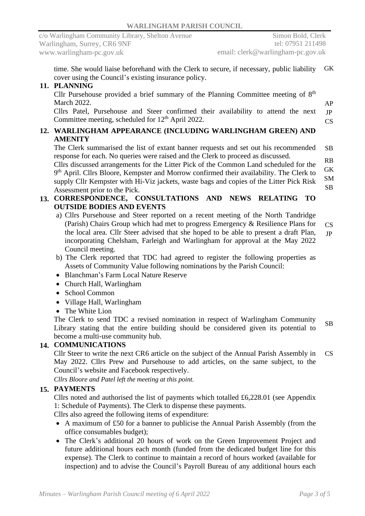time. She would liaise beforehand with the Clerk to secure, if necessary, public liability cover using the Council's existing insurance policy. GK

#### **11. PLANNING**

Cllr Pursehouse provided a brief summary of the Planning Committee meeting of  $8<sup>th</sup>$ March 2022.

Cllrs Patel, Pursehouse and Steer confirmed their availability to attend the next Committee meeting, scheduled for 12<sup>th</sup> April 2022. JP CS

#### **12. WARLINGHAM APPEARANCE (INCLUDING WARLINGHAM GREEN) AND AMENITY**

The Clerk summarised the list of extant banner requests and set out his recommended response for each. No queries were raised and the Clerk to proceed as discussed. SB

Cllrs discussed arrangements for the Litter Pick of the Common Land scheduled for the 9<sup>th</sup> April. Cllrs Bloore, Kempster and Morrow confirmed their availability. The Clerk to supply Cllr Kempster with Hi-Viz jackets, waste bags and copies of the Litter Pick Risk Assessment prior to the Pick. RB GK SM SB

#### **13. CORRESPONDENCE, CONSULTATIONS AND NEWS RELATING TO OUTSIDE BODIES AND EVENTS**

- a) Cllrs Pursehouse and Steer reported on a recent meeting of the North Tandridge (Parish) Chairs Group which had met to progress Emergency & Resilience Plans for the local area. Cllr Steer advised that she hoped to be able to present a draft Plan, incorporating Chelsham, Farleigh and Warlingham for approval at the May 2022 Council meeting. CS JP
- b) The Clerk reported that TDC had agreed to register the following properties as Assets of Community Value following nominations by the Parish Council:
- Blanchman's Farm Local Nature Reserve
- Church Hall, Warlingham
- School Common
- Village Hall, Warlingham
- The White Lion

The Clerk to send TDC a revised nomination in respect of Warlingham Community Library stating that the entire building should be considered given its potential to become a multi-use community hub. SB

## **14. COMMUNICATIONS**

Cllr Steer to write the next CR6 article on the subject of the Annual Parish Assembly in May 2022. Cllrs Prew and Pursehouse to add articles, on the same subject, to the Council's website and Facebook respectively. CS

*Cllrs Bloore and Patel left the meeting at this point.*

## **15. PAYMENTS**

Cllrs noted and authorised the list of payments which totalled £6,228.01 (see Appendix 1: Schedule of Payments). The Clerk to dispense these payments. Cllrs also agreed the following items of expenditure:

- A maximum of £50 for a banner to publicise the Annual Parish Assembly (from the office consumables budget);
- The Clerk's additional 20 hours of work on the Green Improvement Project and future additional hours each month (funded from the dedicated budget line for this expense). The Clerk to continue to maintain a record of hours worked (available for inspection) and to advise the Council's Payroll Bureau of any additional hours each

AP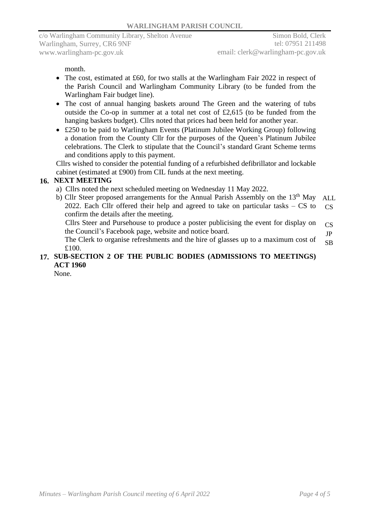month.

- The cost, estimated at £60, for two stalls at the Warlingham Fair 2022 in respect of the Parish Council and Warlingham Community Library (to be funded from the Warlingham Fair budget line).
- The cost of annual hanging baskets around The Green and the watering of tubs outside the Co-op in summer at a total net cost of £2,615 (to be funded from the hanging baskets budget). Cllrs noted that prices had been held for another year.
- £250 to be paid to Warlingham Events (Platinum Jubilee Working Group) following a donation from the County Cllr for the purposes of the Queen's Platinum Jubilee celebrations. The Clerk to stipulate that the Council's standard Grant Scheme terms and conditions apply to this payment.

Cllrs wished to consider the potential funding of a refurbished defibrillator and lockable cabinet (estimated at £900) from CIL funds at the next meeting.

#### **16. NEXT MEETING**

- a) Cllrs noted the next scheduled meeting on Wednesday 11 May 2022.
- b) Cllr Steer proposed arrangements for the Annual Parish Assembly on the  $13<sup>th</sup>$  May 2022. Each Cllr offered their help and agreed to take on particular tasks – CS to confirm the details after the meeting. ALL  $CS$

Cllrs Steer and Pursehouse to produce a poster publicising the event for display on the Council's Facebook page, website and notice board. CS JP

The Clerk to organise refreshments and the hire of glasses up to a maximum cost of £100. SB

### **17. SUB-SECTION 2 OF THE PUBLIC BODIES (ADMISSIONS TO MEETINGS) ACT 1960**

None.